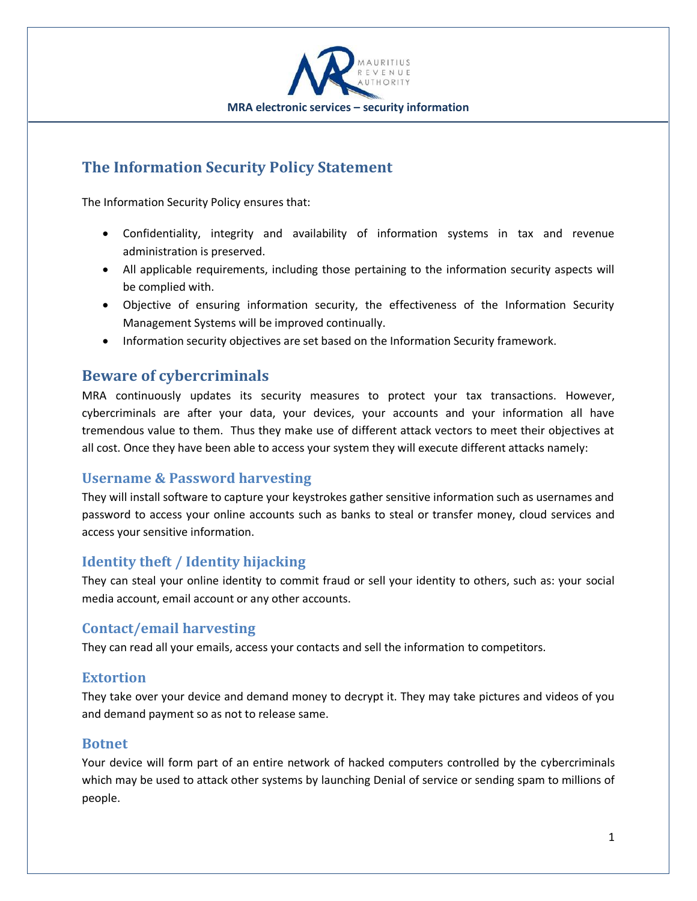

# **The Information Security Policy Statement**

The Information Security Policy ensures that:

- Confidentiality, integrity and availability of information systems in tax and revenue administration is preserved.
- All applicable requirements, including those pertaining to the information security aspects will be complied with.
- Objective of ensuring information security, the effectiveness of the Information Security Management Systems will be improved continually.
- Information security objectives are set based on the Information Security framework.

### **Beware of cybercriminals**

MRA continuously updates its security measures to protect your tax transactions. However, cybercriminals are after your data, your devices, your accounts and your information all have tremendous value to them. Thus they make use of different attack vectors to meet their objectives at all cost. Once they have been able to access your system they will execute different attacks namely:

### **Username & Password harvesting**

They will install software to capture your keystrokes gather sensitive information such as usernames and password to access your online accounts such as banks to steal or transfer money, cloud services and access your sensitive information.

### **Identity theft / Identity hijacking**

They can steal your online identity to commit fraud or sell your identity to others, such as: your social media account, email account or any other accounts.

### **Contact/email harvesting**

They can read all your emails, access your contacts and sell the information to competitors.

#### **Extortion**

They take over your device and demand money to decrypt it. They may take pictures and videos of you and demand payment so as not to release same.

#### **Botnet**

Your device will form part of an entire network of hacked computers controlled by the cybercriminals which may be used to attack other systems by launching Denial of service or sending spam to millions of people.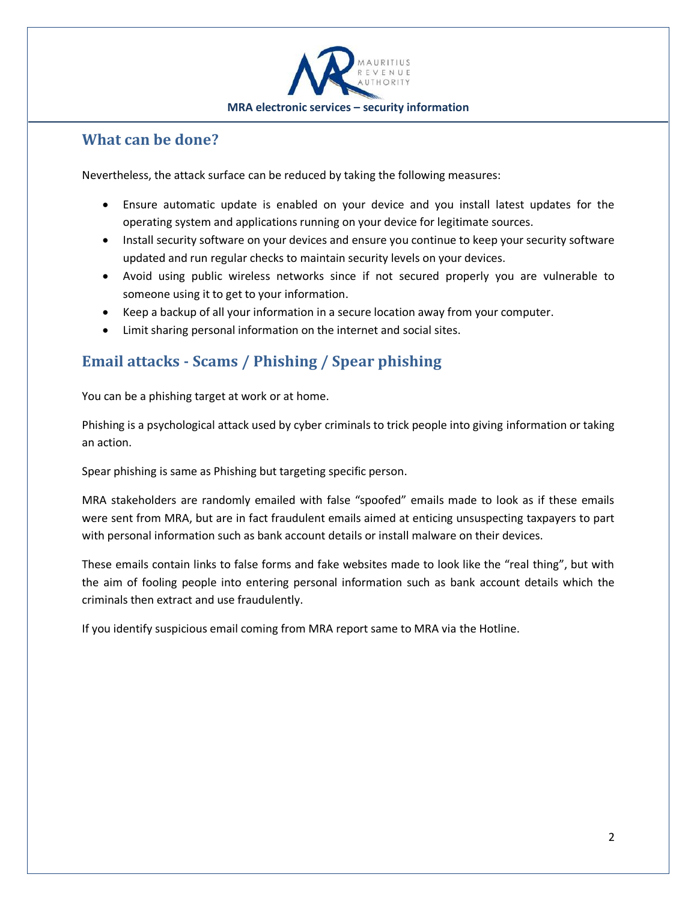

### **What can be done?**

Nevertheless, the attack surface can be reduced by taking the following measures:

- Ensure automatic update is enabled on your device and you install latest updates for the operating system and applications running on your device for legitimate sources.
- Install security software on your devices and ensure you continue to keep your security software updated and run regular checks to maintain security levels on your devices.
- Avoid using public wireless networks since if not secured properly you are vulnerable to someone using it to get to your information.
- Keep a backup of all your information in a secure location away from your computer.
- Limit sharing personal information on the internet and social sites.

# **Email attacks - Scams / Phishing / Spear phishing**

You can be a phishing target at work or at home.

Phishing is a psychological attack used by cyber criminals to trick people into giving information or taking an action.

Spear phishing is same as Phishing but targeting specific person.

MRA stakeholders are randomly emailed with false "spoofed" emails made to look as if these emails were sent from MRA, but are in fact fraudulent emails aimed at enticing unsuspecting taxpayers to part with personal information such as bank account details or install malware on their devices.

These emails contain links to false forms and fake websites made to look like the "real thing", but with the aim of fooling people into entering personal information such as bank account details which the criminals then extract and use fraudulently.

If you identify suspicious email coming from MRA report same to MRA via the Hotline.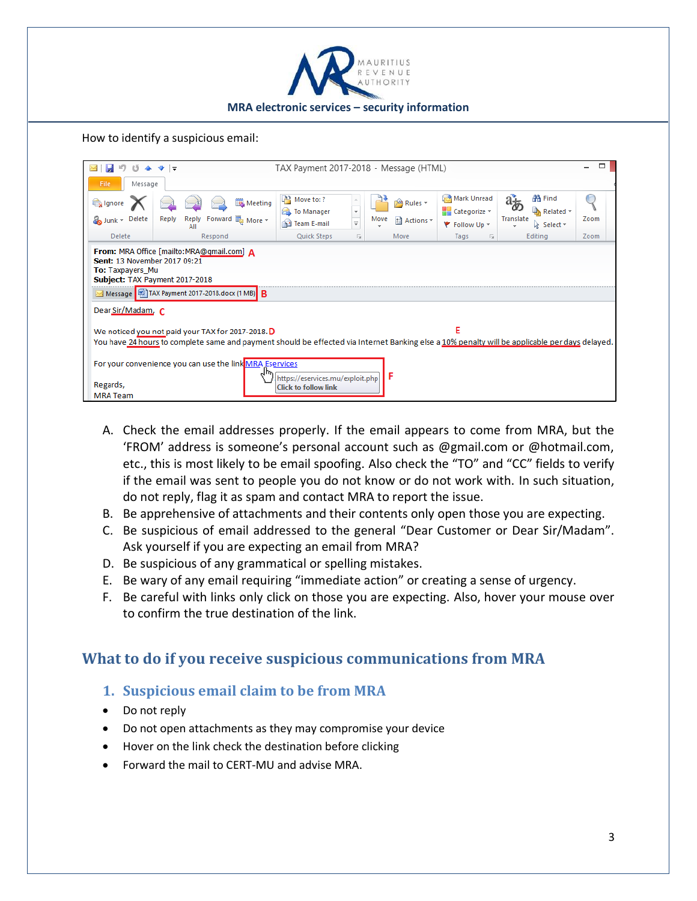

How to identify a suspicious email:

| TAX Payment 2017-2018 - Message (HTML)<br>$\bullet$ $\bullet$                                                                                                                                            |                       |                                          |                                                                 |                              |             |                                      |                             |      |  |  |  |  |
|----------------------------------------------------------------------------------------------------------------------------------------------------------------------------------------------------------|-----------------------|------------------------------------------|-----------------------------------------------------------------|------------------------------|-------------|--------------------------------------|-----------------------------|------|--|--|--|--|
| File<br>Message                                                                                                                                                                                          |                       |                                          |                                                                 |                              |             |                                      |                             |      |  |  |  |  |
| lgnore                                                                                                                                                                                                   |                       | Meeting                                  | $A^2$ Move to: ?<br>To Manager                                  | $\overline{\mathbf v}$       | Rules *     | Mark Unread<br>$H$ Categorize $\sim$ | <b> 名 Find</b><br>Related * |      |  |  |  |  |
| Junk - Delete                                                                                                                                                                                            | Reply<br>Reply<br>All | Forward <b>B</b> <sub>More</sub> $\cdot$ | Team E-mail                                                     | $\frac{1}{\sqrt{2}}$<br>Move | ी Actions - | ₹ Follow Up ▼                        | Translate<br>Relect *       | Zoom |  |  |  |  |
| Delete                                                                                                                                                                                                   | Respond               |                                          | Quick Steps                                                     | Б.                           | Move        | Б.<br>Tags                           | Editina                     | Zoom |  |  |  |  |
| From: MRA Office [mailto:MRA@gmail.com] A<br>Sent: 13 November 2017 09:21<br>To: Taxpayers_Mu<br>Subject: TAX Payment 2017-2018                                                                          |                       |                                          |                                                                 |                              |             |                                      |                             |      |  |  |  |  |
| Message   1AX Payment 2017-2018.docx (1 MB)   B                                                                                                                                                          |                       |                                          |                                                                 |                              |             |                                      |                             |      |  |  |  |  |
| Dear Sir/Madam, C                                                                                                                                                                                        |                       |                                          |                                                                 |                              |             |                                      |                             |      |  |  |  |  |
| E<br>We noticed you not paid your TAX for 2017-2018. D<br>You have 24 hours to complete same and payment should be effected via Internet Banking else a 10% penalty will be applicable per days delayed. |                       |                                          |                                                                 |                              |             |                                      |                             |      |  |  |  |  |
| For your convenience you can use the link MRA Eservices                                                                                                                                                  |                       |                                          |                                                                 |                              |             |                                      |                             |      |  |  |  |  |
| Regards,<br><b>MRA</b> Team                                                                                                                                                                              |                       |                                          | https://eservices.mu/exploit.php<br><b>Click to follow link</b> |                              | F           |                                      |                             |      |  |  |  |  |

- A. Check the email addresses properly. If the email appears to come from MRA, but the 'FROM' address is someone's personal account such as @gmail.com or @hotmail.com, etc., this is most likely to be email spoofing. Also check the "TO" and "CC" fields to verify if the email was sent to people you do not know or do not work with. In such situation, do not reply, flag it as spam and contact MRA to report the issue.
- B. Be apprehensive of attachments and their contents only open those you are expecting.
- C. Be suspicious of email addressed to the general "Dear Customer or Dear Sir/Madam". Ask yourself if you are expecting an email from MRA?
- D. Be suspicious of any grammatical or spelling mistakes.
- E. Be wary of any email requiring "immediate action" or creating a sense of urgency.
- F. Be careful with links only click on those you are expecting. Also, hover your mouse over to confirm the true destination of the link.

## **What to do if you receive suspicious communications from MRA**

- **1. Suspicious email claim to be from MRA**
- Do not reply
- Do not open attachments as they may compromise your device
- Hover on the link check the destination before clicking
- Forward the mail to CERT-MU and advise MRA.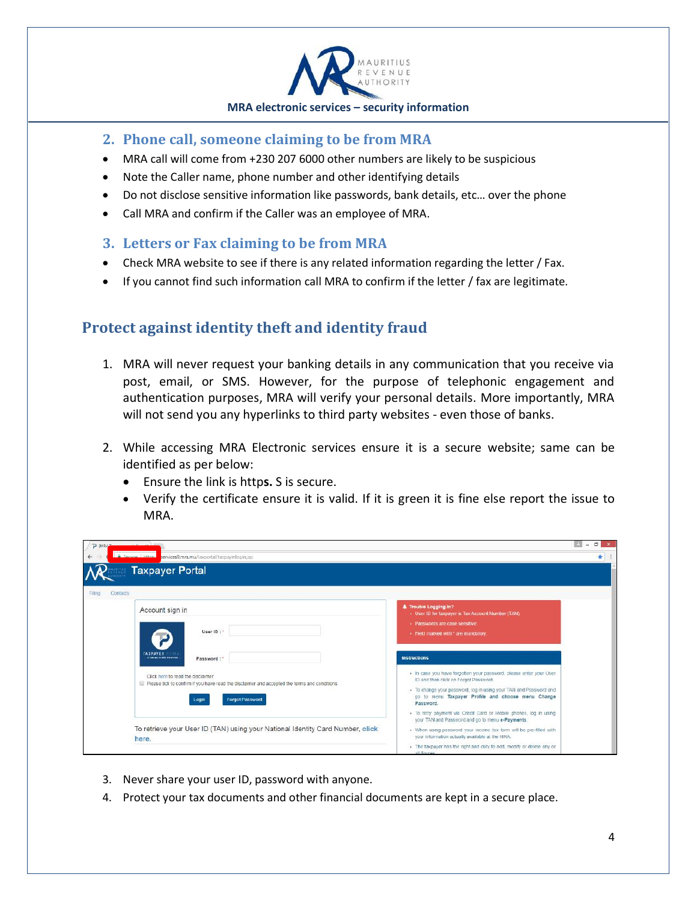

#### **2. Phone call, someone claiming to be from MRA**

- MRA call will come from +230 207 6000 other numbers are likely to be suspicious
- Note the Caller name, phone number and other identifying details
- Do not disclose sensitive information like passwords, bank details, etc… over the phone
- Call MRA and confirm if the Caller was an employee of MRA.

#### **3. Letters or Fax claiming to be from MRA**

- Check MRA website to see if there is any related information regarding the letter / Fax.
- If you cannot find such information call MRA to confirm if the letter / fax are legitimate.

## **Protect against identity theft and identity fraud**

- 1. MRA will never request your banking details in any communication that you receive via post, email, or SMS. However, for the purpose of telephonic engagement and authentication purposes, MRA will verify your personal details. More importantly, MRA will not send you any hyperlinks to third party websites - even those of banks.
- 2. While accessing MRA Electronic services ensure it is a secure website; same can be identified as per below:
	- Ensure the link is http**s.** S is secure.
	- Verify the certificate ensure it is valid. If it is green it is fine else report the issue to MRA.

| PINRATHUMMANA V<br><b>A</b> Secure https:/<br>services9.mra.mu/taxportal/taxpayerlogin.isp                                                                                                                      |                                                                                                                                                                                                                                                                                                                                                                                                     | $\Box$ |  |
|-----------------------------------------------------------------------------------------------------------------------------------------------------------------------------------------------------------------|-----------------------------------------------------------------------------------------------------------------------------------------------------------------------------------------------------------------------------------------------------------------------------------------------------------------------------------------------------------------------------------------------------|--------|--|
| <b>Taxpayer Portal</b>                                                                                                                                                                                          |                                                                                                                                                                                                                                                                                                                                                                                                     |        |  |
| Contacts<br>Filing<br>Account sign in<br>User ID:<br><b>TAXPAYER</b>                                                                                                                                            | <b>A</b> Trouble Logging In?<br>· User ID for taxpayer is Tax Account Number (TAN).<br>· Passwords are case sensitive.<br>· Field marked with * are mandatory.                                                                                                                                                                                                                                      |        |  |
| A Colombia on WAS A Automobile<br>Password:"<br>Click here to read the disclaimer.<br>Please tick to confirm if you have read the disclaimer and accepted the terms and conditions.<br>Forgot Password<br>Login | <b>Instructions</b><br>. In case you have forgotten your password, please enter your User<br>ID and then click on Forgot Password.<br>- To change your password, log in using your TAN and Password and<br>go to menu Taxpayer Profile and choose menu Change<br>Password.<br>. To retry payment via Credit Card or Mobile phones, log in using<br>your TAN and Password and go to menu e-Payments. |        |  |
| To retrieve your User ID (TAN) using your National Identity Card Number, click<br>here.                                                                                                                         | . When using password your income tax form will be pre-filled with<br>your information actually available at the MRA.<br>. The taxpayer has the right and duty to add, modify or delete any or<br>all floures.                                                                                                                                                                                      |        |  |

- 3. Never share your user ID, password with anyone.
- 4. Protect your tax documents and other financial documents are kept in a secure place.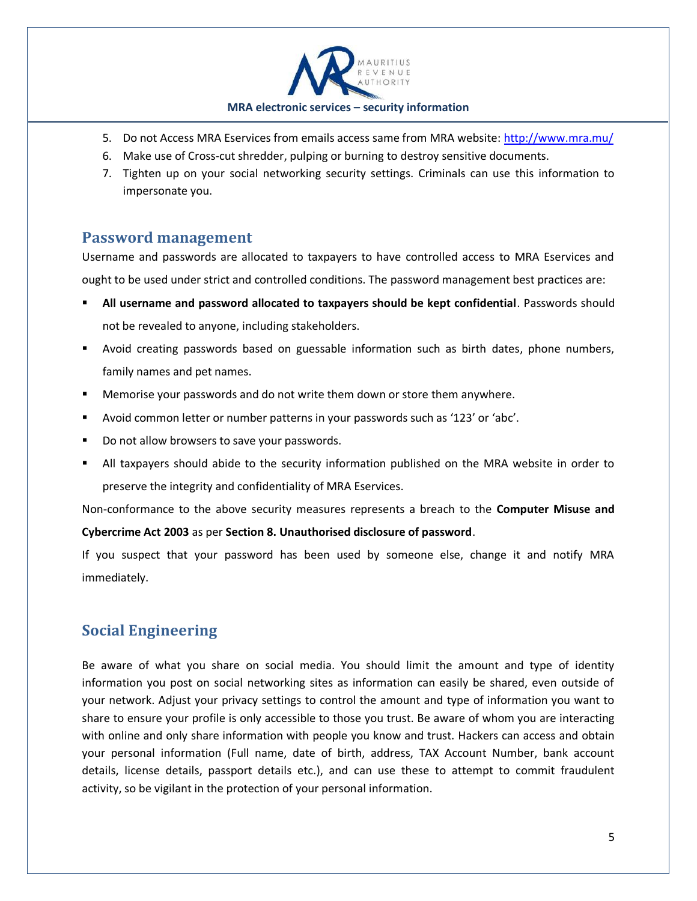

- 5. Do not Access MRA Eservices from emails access same from MRA website:<http://www.mra.mu/>
- 6. Make use of Cross-cut shredder, pulping or burning to destroy sensitive documents.
- 7. Tighten up on your social networking security settings. Criminals can use this information to impersonate you.

#### **Password management**

Username and passwords are allocated to taxpayers to have controlled access to MRA Eservices and ought to be used under strict and controlled conditions. The password management best practices are:

- **All username and password allocated to taxpayers should be kept confidential**. Passwords should not be revealed to anyone, including stakeholders.
- Avoid creating passwords based on guessable information such as birth dates, phone numbers, family names and pet names.
- Memorise your passwords and do not write them down or store them anywhere.
- Avoid common letter or number patterns in your passwords such as '123' or 'abc'.
- Do not allow browsers to save your passwords.
- All taxpayers should abide to the security information published on the MRA website in order to preserve the integrity and confidentiality of MRA Eservices.

Non-conformance to the above security measures represents a breach to the **Computer Misuse and** 

**Cybercrime Act 2003** as per **Section 8. Unauthorised disclosure of password**.

If you suspect that your password has been used by someone else, change it and notify MRA immediately.

## **Social Engineering**

Be aware of what you share on social media. You should limit the amount and type of identity information you post on social networking sites as information can easily be shared, even outside of your network. Adjust your privacy settings to control the amount and type of information you want to share to ensure your profile is only accessible to those you trust. Be aware of whom you are interacting with online and only share information with people you know and trust. Hackers can access and obtain your personal information (Full name, date of birth, address, TAX Account Number, bank account details, license details, passport details etc.), and can use these to attempt to commit fraudulent activity, so be vigilant in the protection of your personal information.